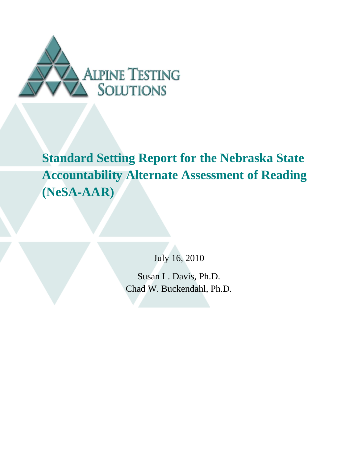

**Standard Setting Report for the Nebraska State Accountability Alternate Assessment of Reading (NeSA-AAR)** 

July 16, 2010

Susan L. Davis, Ph.D. Chad W. Buckendahl, Ph.D.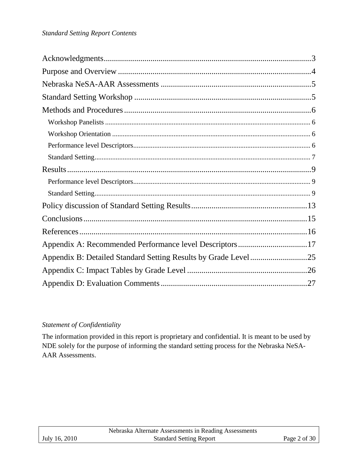| Appendix A: Recommended Performance level Descriptors17 |  |
|---------------------------------------------------------|--|
|                                                         |  |
|                                                         |  |
|                                                         |  |

## *Statement of Confidentiality*

The information provided in this report is proprietary and confidential. It is meant to be used by NDE solely for the purpose of informing the standard setting process for the Nebraska NeSA-AAR Assessments.

|               | Nebraska Alternate Assessments in Reading Assessments |                |
|---------------|-------------------------------------------------------|----------------|
| July 16, 2010 | <b>Standard Setting Report</b>                        | Page 2 of $30$ |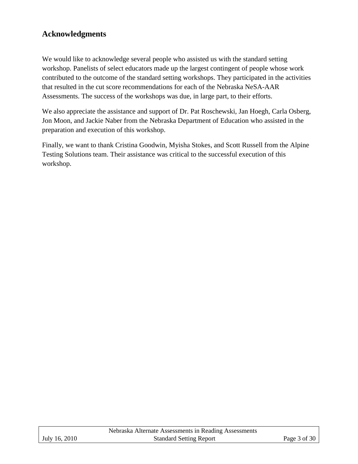# **Acknowledgments**

We would like to acknowledge several people who assisted us with the standard setting workshop. Panelists of select educators made up the largest contingent of people whose work contributed to the outcome of the standard setting workshops. They participated in the activities that resulted in the cut score recommendations for each of the Nebraska NeSA-AAR Assessments. The success of the workshops was due, in large part, to their efforts.

We also appreciate the assistance and support of Dr. Pat Roschewski, Jan Hoegh, Carla Osberg, Jon Moon, and Jackie Naber from the Nebraska Department of Education who assisted in the preparation and execution of this workshop.

Finally, we want to thank Cristina Goodwin, Myisha Stokes, and Scott Russell from the Alpine Testing Solutions team. Their assistance was critical to the successful execution of this workshop.

|               | Nebraska Alternate Assessments in Reading Assessments |              |
|---------------|-------------------------------------------------------|--------------|
| July 16, 2010 | <b>Standard Setting Report</b>                        | Page 3 of 30 |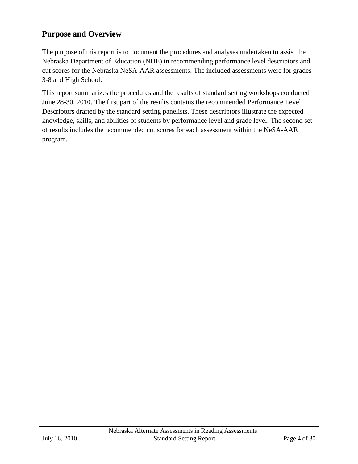## **Purpose and Overview**

The purpose of this report is to document the procedures and analyses undertaken to assist the Nebraska Department of Education (NDE) in recommending performance level descriptors and cut scores for the Nebraska NeSA-AAR assessments. The included assessments were for grades 3-8 and High School.

This report summarizes the procedures and the results of standard setting workshops conducted June 28-30, 2010. The first part of the results contains the recommended Performance Level Descriptors drafted by the standard setting panelists. These descriptors illustrate the expected knowledge, skills, and abilities of students by performance level and grade level. The second set of results includes the recommended cut scores for each assessment within the NeSA-AAR program.

|               | Nebraska Alternate Assessments in Reading Assessments |              |
|---------------|-------------------------------------------------------|--------------|
| July 16, 2010 | <b>Standard Setting Report</b>                        | Page 4 of 30 |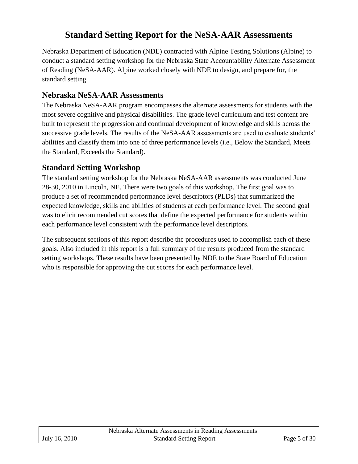# **Standard Setting Report for the NeSA-AAR Assessments**

Nebraska Department of Education (NDE) contracted with Alpine Testing Solutions (Alpine) to conduct a standard setting workshop for the Nebraska State Accountability Alternate Assessment of Reading (NeSA-AAR). Alpine worked closely with NDE to design, and prepare for, the standard setting.

## **Nebraska NeSA-AAR Assessments**

The Nebraska NeSA-AAR program encompasses the alternate assessments for students with the most severe cognitive and physical disabilities. The grade level curriculum and test content are built to represent the progression and continual development of knowledge and skills across the successive grade levels. The results of the NeSA-AAR assessments are used to evaluate students' abilities and classify them into one of three performance levels (i.e., Below the Standard, Meets the Standard, Exceeds the Standard).

## **Standard Setting Workshop**

The standard setting workshop for the Nebraska NeSA-AAR assessments was conducted June 28-30, 2010 in Lincoln, NE. There were two goals of this workshop. The first goal was to produce a set of recommended performance level descriptors (PLDs) that summarized the expected knowledge, skills and abilities of students at each performance level. The second goal was to elicit recommended cut scores that define the expected performance for students within each performance level consistent with the performance level descriptors.

The subsequent sections of this report describe the procedures used to accomplish each of these goals. Also included in this report is a full summary of the results produced from the standard setting workshops. These results have been presented by NDE to the State Board of Education who is responsible for approving the cut scores for each performance level.

|               | Nebraska Alternate Assessments in Reading Assessments |                |
|---------------|-------------------------------------------------------|----------------|
| July 16, 2010 | <b>Standard Setting Report</b>                        | Page 5 of $30$ |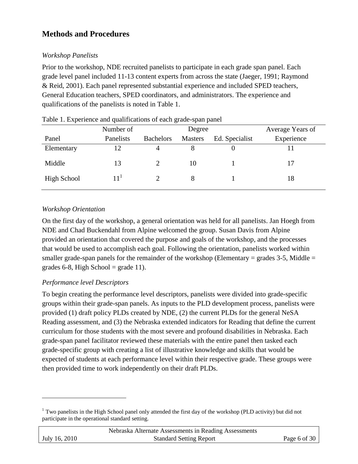# **Methods and Procedures**

## *Workshop Panelists*

Prior to the workshop, NDE recruited panelists to participate in each grade span panel. Each grade level panel included 11-13 content experts from across the state (Jaeger, 1991; Raymond & Reid, 2001). Each panel represented substantial experience and included SPED teachers, General Education teachers, SPED coordinators, and administrators. The experience and qualifications of the panelists is noted in Table 1.

|             | Number of |                  | Degree         |                | Average Years of |
|-------------|-----------|------------------|----------------|----------------|------------------|
| Panel       | Panelists | <b>Bachelors</b> | <b>Masters</b> | Ed. Specialist | Experience       |
| Elementary  | 12        | 4                |                |                |                  |
| Middle      | 13        |                  | 10             |                | 17               |
| High School | $11^{1}$  |                  |                |                | 18               |

Table 1. Experience and qualifications of each grade-span panel

## *Workshop Orientation*

On the first day of the workshop, a general orientation was held for all panelists. Jan Hoegh from NDE and Chad Buckendahl from Alpine welcomed the group. Susan Davis from Alpine provided an orientation that covered the purpose and goals of the workshop, and the processes that would be used to accomplish each goal. Following the orientation, panelists worked within smaller grade-span panels for the remainder of the workshop (Elementary = grades 3-5, Middle = grades 6-8, High School = grade 11).

## *Performance level Descriptors*

 $\overline{a}$ 

To begin creating the performance level descriptors, panelists were divided into grade-specific groups within their grade-span panels. As inputs to the PLD development process, panelists were provided (1) draft policy PLDs created by NDE, (2) the current PLDs for the general NeSA Reading assessment, and (3) the Nebraska extended indicators for Reading that define the current curriculum for those students with the most severe and profound disabilities in Nebraska. Each grade-span panel facilitator reviewed these materials with the entire panel then tasked each grade-specific group with creating a list of illustrative knowledge and skills that would be expected of students at each performance level within their respective grade. These groups were then provided time to work independently on their draft PLDs.

|               | Nebraska Alternate Assessments in Reading Assessments |              |
|---------------|-------------------------------------------------------|--------------|
| July 16, 2010 | <b>Standard Setting Report</b>                        | Page 6 of 30 |

<sup>&</sup>lt;sup>1</sup> Two panelists in the High School panel only attended the first day of the workshop (PLD activity) but did not participate in the operational standard setting.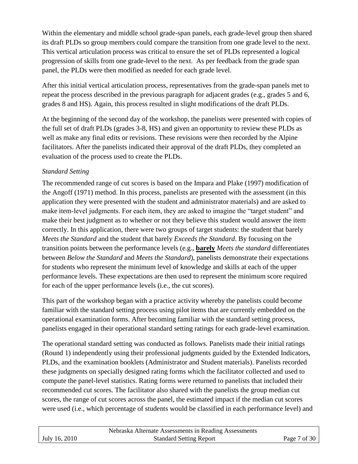Within the elementary and middle school grade-span panels, each grade-level group then shared its draft PLDs so group members could compare the transition from one grade level to the next. This vertical articulation process was critical to ensure the set of PLDs represented a logical progression of skills from one grade-level to the next. As per feedback from the grade span panel, the PLDs were then modified as needed for each grade level.

After this initial vertical articulation process, representatives from the grade-span panels met to repeat the process described in the previous paragraph for adjacent grades (e.g., grades 5 and 6, grades 8 and HS). Again, this process resulted in slight modifications of the draft PLDs.

At the beginning of the second day of the workshop, the panelists were presented with copies of the full set of draft PLDs (grades 3-8, HS) and given an opportunity to review these PLDs as well as make any final edits or revisions. These revisions were then recorded by the Alpine facilitators. After the panelists indicated their approval of the draft PLDs, they completed an evaluation of the process used to create the PLDs.

## *Standard Setting*

The recommended range of cut scores is based on the Impara and Plake (1997) modification of the Angoff (1971) method. In this process, panelists are presented with the assessment (in this application they were presented with the student and administrator materials) and are asked to make item-level judgments. For each item, they are asked to imagine the "target student" and make their best judgment as to whether or not they believe this student would answer the item correctly. In this application, there were two groups of target students: the student that barely *Meets the Standard* and the student that barely *Exceeds the Standard*. By focusing on the transition points between the performance levels (e.g., **barely** *Meets the standard* differentiates between *Below the Standard* and *Meets the Standard*), panelists demonstrate their expectations for students who represent the minimum level of knowledge and skills at each of the upper performance levels. These expectations are then used to represent the minimum score required for each of the upper performance levels (i.e., the cut scores).

This part of the workshop began with a practice activity whereby the panelists could become familiar with the standard setting process using pilot items that are currently embedded on the operational examination forms. After becoming familiar with the standard setting process, panelists engaged in their operational standard setting ratings for each grade-level examination.

The operational standard setting was conducted as follows. Panelists made their initial ratings (Round 1) independently using their professional judgments guided by the Extended Indicators, PLDs, and the examination booklets (Administrator and Student materials). Panelists recorded these judgments on specially designed rating forms which the facilitator collected and used to compute the panel-level statistics. Rating forms were returned to panelists that included their recommended cut scores. The facilitator also shared with the panelists the group median cut scores, the range of cut scores across the panel, the estimated impact if the median cut scores were used (i.e., which percentage of students would be classified in each performance level) and

|               | Nebraska Alternate Assessments in Reading Assessments |              |
|---------------|-------------------------------------------------------|--------------|
| July 16, 2010 | <b>Standard Setting Report</b>                        | Page 7 of 30 |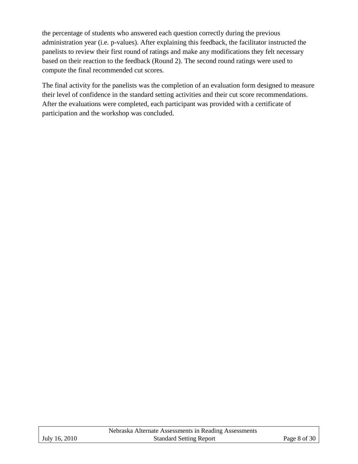the percentage of students who answered each question correctly during the previous administration year (i.e. p-values). After explaining this feedback, the facilitator instructed the panelists to review their first round of ratings and make any modifications they felt necessary based on their reaction to the feedback (Round 2). The second round ratings were used to compute the final recommended cut scores.

The final activity for the panelists was the completion of an evaluation form designed to measure their level of confidence in the standard setting activities and their cut score recommendations. After the evaluations were completed, each participant was provided with a certificate of participation and the workshop was concluded.

|               | Nebraska Alternate Assessments in Reading Assessments |                      |
|---------------|-------------------------------------------------------|----------------------|
| July 16, 2010 | <b>Standard Setting Report</b>                        | Page 8 of 30 $\vert$ |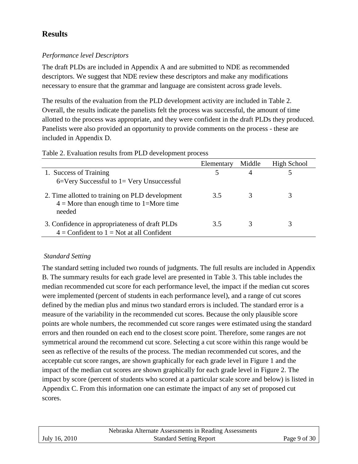# **Results**

## *Performance level Descriptors*

The draft PLDs are included in Appendix A and are submitted to NDE as recommended descriptors. We suggest that NDE review these descriptors and make any modifications necessary to ensure that the grammar and language are consistent across grade levels.

The results of the evaluation from the PLD development activity are included in Table 2. Overall, the results indicate the panelists felt the process was successful, the amount of time allotted to the process was appropriate, and they were confident in the draft PLDs they produced. Panelists were also provided an opportunity to provide comments on the process - these are included in Appendix D.

|                                                                                                         | Elementary | Middle | High School |
|---------------------------------------------------------------------------------------------------------|------------|--------|-------------|
| 1. Success of Training                                                                                  |            |        |             |
| $6=$ Very Successful to $1=$ Very Unsuccessful                                                          |            |        |             |
| 2. Time allotted to training on PLD development<br>$4 =$ More than enough time to 1=More time<br>needed | 3.5        |        |             |
| 3. Confidence in appropriateness of draft PLDs<br>$4 =$ Confident to $1 =$ Not at all Confident         | 3.5        |        | 3           |

Table 2. Evaluation results from PLD development process

## *Standard Setting*

The standard setting included two rounds of judgments. The full results are included in Appendix B. The summary results for each grade level are presented in Table 3. This table includes the median recommended cut score for each performance level, the impact if the median cut scores were implemented (percent of students in each performance level), and a range of cut scores defined by the median plus and minus two standard errors is included. The standard error is a measure of the variability in the recommended cut scores. Because the only plausible score points are whole numbers, the recommended cut score ranges were estimated using the standard errors and then rounded on each end to the closest score point. Therefore, some ranges are not symmetrical around the recommend cut score. Selecting a cut score within this range would be seen as reflective of the results of the process. The median recommended cut scores, and the acceptable cut score ranges, are shown graphically for each grade level in Figure 1 and the impact of the median cut scores are shown graphically for each grade level in Figure 2. The impact by score (percent of students who scored at a particular scale score and below) is listed in Appendix C. From this information one can estimate the impact of any set of proposed cut scores.

|               | Nebraska Alternate Assessments in Reading Assessments |              |
|---------------|-------------------------------------------------------|--------------|
| July 16, 2010 | <b>Standard Setting Report</b>                        | Page 9 of 30 |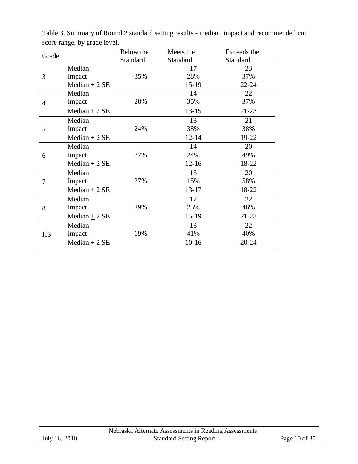| Grade     |                   | Below the | Meets the | Exceeds the |
|-----------|-------------------|-----------|-----------|-------------|
|           |                   | Standard  | Standard  | Standard    |
|           | Median            |           | 17        | 23          |
| 3         | Impact            | 35%       | 28%       | 37%         |
|           | Median $\pm$ 2 SE |           | $15-19$   | $22 - 24$   |
|           | Median            |           | 14        | 22          |
| 4         | Impact            | 28%       | 35%       | 37%         |
|           | Median $\pm$ 2 SE |           | $13 - 15$ | $21 - 23$   |
|           | Median            |           | 13        | 21          |
| 5         | Impact            | 24%       | 38%       | 38%         |
|           | Median $\pm$ 2 SE |           | $12 - 14$ | 19-22       |
|           | Median            |           | 14        | 20          |
| 6         | Impact            | 27%       | 24%       | 49%         |
|           | Median $\pm$ 2 SE |           | $12 - 16$ | 18-22       |
|           | Median            |           | 15        | 20          |
| 7         | Impact            | 27%       | 15%       | 58%         |
|           | Median $+2$ SE    |           | 13-17     | 18-22       |
|           | Median            |           | 17        | 22          |
| 8         | Impact            | 29%       | 25%       | 46%         |
|           | Median $\pm$ 2 SE |           | 15-19     | $21 - 23$   |
|           | Median            |           | 13        | 22          |
| <b>HS</b> | Impact            | 19%       | 41%       | 40%         |
|           | Median $\pm$ 2 SE |           | $10-16$   | 20-24       |

Table 3. Summary of Round 2 standard setting results - median, impact and recommended cut score range, by grade level.

|               | Nebraska Alternate Assessments in Reading Assessments |               |
|---------------|-------------------------------------------------------|---------------|
| July 16, 2010 | <b>Standard Setting Report</b>                        | Page 10 of 30 |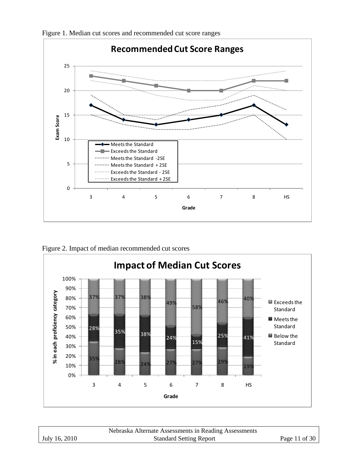

Figure 1. Median cut scores and recommended cut score ranges

Figure 2. Impact of median recommended cut scores



|               | Nebraska Alternate Assessments in Reading Assessments |               |
|---------------|-------------------------------------------------------|---------------|
| July 16, 2010 | <b>Standard Setting Report</b>                        | Page 11 of 30 |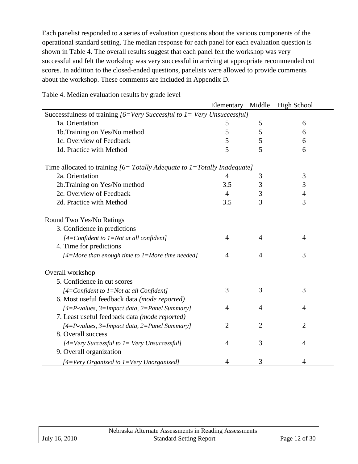Each panelist responded to a series of evaluation questions about the various components of the operational standard setting. The median response for each panel for each evaluation question is shown in Table 4. The overall results suggest that each panel felt the workshop was very successful and felt the workshop was very successful in arriving at appropriate recommended cut scores. In addition to the closed-ended questions, panelists were allowed to provide comments about the workshop. These comments are included in Appendix D.

|                                                                             | Elementary     | Middle         | <b>High School</b> |  |  |
|-----------------------------------------------------------------------------|----------------|----------------|--------------------|--|--|
| Successfulness of training $[6=V$ ery Successful to $1=V$ ery Unsuccessful] |                |                |                    |  |  |
| 1a. Orientation                                                             | 5              | 5              | 6                  |  |  |
| 1b. Training on Yes/No method                                               | 5              | 5              | 6                  |  |  |
| 1c. Overview of Feedback                                                    | 5              | 5              | 6                  |  |  |
| 1d. Practice with Method                                                    | 5              | 5              | 6                  |  |  |
| Time allocated to training $[6=Totally Adequate to 1=Totally Indeeduate]$   |                |                |                    |  |  |
| 2a. Orientation                                                             | $\overline{4}$ | 3              | $\mathfrak{Z}$     |  |  |
| 2b. Training on Yes/No method                                               | 3.5            | 3              | 3                  |  |  |
| 2c. Overview of Feedback                                                    | $\overline{4}$ | 3              | $\overline{4}$     |  |  |
| 2d. Practice with Method                                                    | 3.5            | 3              | 3                  |  |  |
| Round Two Yes/No Ratings                                                    |                |                |                    |  |  |
| 3. Confidence in predictions                                                |                |                |                    |  |  |
| $[4=$ Confident to $1=$ Not at all confident]                               | $\overline{4}$ | $\overline{4}$ | $\overline{4}$     |  |  |
| 4. Time for predictions                                                     |                |                |                    |  |  |
| $[4=More than enough time to 1=More time needed]$                           | $\overline{4}$ | $\overline{4}$ | 3                  |  |  |
| Overall workshop                                                            |                |                |                    |  |  |
| 5. Confidence in cut scores                                                 |                |                |                    |  |  |
| $[4=$ Confident to $1=$ Not at all Confident]                               | 3              | 3              | 3                  |  |  |
| 6. Most useful feedback data (mode reported)                                |                |                |                    |  |  |
| $[4 = P$ -values, 3=Impact data, 2=Panel Summary]                           | $\overline{4}$ | $\overline{4}$ | 4                  |  |  |
| 7. Least useful feedback data (mode reported)                               |                |                |                    |  |  |
| $[4 = P$ -values, 3=Impact data, 2=Panel Summary]                           | $\overline{2}$ | $\overline{2}$ | $\overline{2}$     |  |  |
| 8. Overall success                                                          |                |                |                    |  |  |
| $[4=Very$ Successful to $1=Very$ Unsuccessful]                              | $\overline{4}$ | 3              | $\overline{4}$     |  |  |
| 9. Overall organization                                                     |                |                |                    |  |  |
| [4=Very Organized to 1=Very Unorganized]                                    | 4              | 3              | 4                  |  |  |

Table 4. Median evaluation results by grade level

|               | Nebraska Alternate Assessments in Reading Assessments |               |
|---------------|-------------------------------------------------------|---------------|
| July 16, 2010 | <b>Standard Setting Report</b>                        | Page 12 of 30 |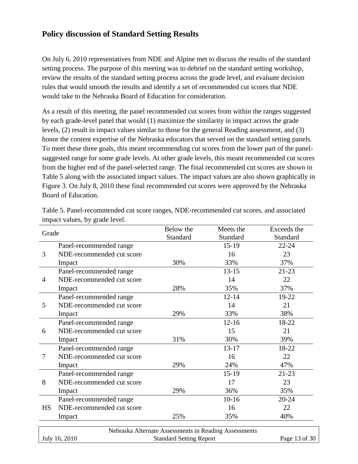## **Policy discussion of Standard Setting Results**

On July 6, 2010 representatives from NDE and Alpine met to discuss the results of the standard setting process. The purpose of this meeting was to debrief on the standard setting workshop, review the results of the standard setting process across the grade level, and evaluate decision rules that would smooth the results and identify a set of recommended cut scores that NDE would take to the Nebraska Board of Education for consideration.

As a result of this meeting, the panel recommended cut scores from within the ranges suggested by each grade-level panel that would (1) maximize the similarity in impact across the grade levels, (2) result in impact values similar to those for the general Reading assessment, and (3) honor the content expertise of the Nebraska educators that served on the standard setting panels. To meet these three goals, this meant recommending cut scores from the lower part of the panelsuggested range for some grade levels. At other grade levels, this meant recommended cut scores from the higher end of the panel-selected range. The final recommended cut scores are shown in Table 5 along with the associated impact values. The impact values are also shown graphically in Figure 3. On July 8, 2010 these final recommended cut scores were approved by the Nebraska Board of Education.

|           |                           | Below the                                             | Meets the | Exceeds the   |
|-----------|---------------------------|-------------------------------------------------------|-----------|---------------|
| Grade     |                           | Standard                                              | Standard  | Standard      |
|           | Panel-recommended range   |                                                       | $15-19$   | $22 - 24$     |
| 3         | NDE-recommended cut score |                                                       | 16        | 23            |
|           | Impact                    | 30%                                                   | 33%       | 37%           |
|           | Panel-recommended range   |                                                       | $13 - 15$ | $21-23$       |
| 4         | NDE-recommended cut score |                                                       | 14        | 22            |
|           | Impact                    | 28%                                                   | 35%       | 37%           |
|           | Panel-recommended range   |                                                       | $12 - 14$ | 19-22         |
| 5         | NDE-recommended cut score |                                                       | 14        | 21            |
|           | Impact                    | 29%                                                   | 33%       | 38%           |
|           | Panel-recommended range   |                                                       | $12 - 16$ | 18-22         |
| 6         | NDE-recommended cut score |                                                       | 15        | 21            |
|           | Impact                    | 31%                                                   | 30%       | 39%           |
|           | Panel-recommended range   |                                                       | $13 - 17$ | 18-22         |
| 7         | NDE-recommended cut score |                                                       | 16        | 22            |
|           | Impact                    | 29%                                                   | 24%       | 47%           |
|           | Panel-recommended range   |                                                       | $15-19$   | $21-23$       |
| 8         | NDE-recommended cut score |                                                       | 17        | 23            |
|           | Impact                    | 29%                                                   | 36%       | 35%           |
|           | Panel-recommended range   |                                                       | $10-16$   | $20 - 24$     |
| <b>HS</b> | NDE-recommended cut score |                                                       | 16        | 22            |
|           | Impact                    | 25%                                                   | 35%       | 40%           |
|           |                           | Nebraska Alternate Assessments in Reading Assessments |           |               |
|           | July 16, 2010             | <b>Standard Setting Report</b>                        |           | Page 13 of 30 |

Table 5. Panel-recommended cut score ranges, NDE-recommended cut scores, and associated impact values, by grade level.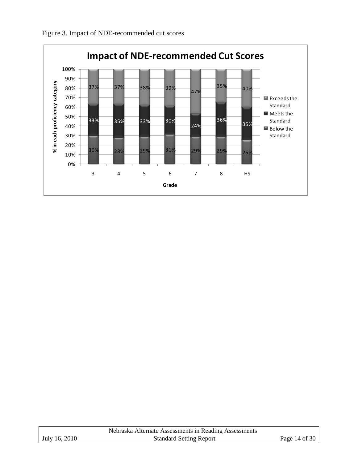



|               | Nebraska Alternate Assessments in Reading Assessments |               |
|---------------|-------------------------------------------------------|---------------|
| July 16, 2010 | <b>Standard Setting Report</b>                        | Page 14 of 30 |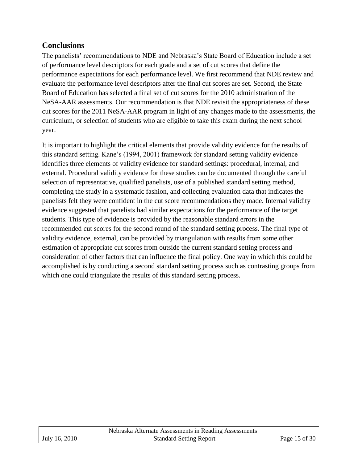# **Conclusions**

The panelists' recommendations to NDE and Nebraska's State Board of Education include a set of performance level descriptors for each grade and a set of cut scores that define the performance expectations for each performance level. We first recommend that NDE review and evaluate the performance level descriptors after the final cut scores are set. Second, the State Board of Education has selected a final set of cut scores for the 2010 administration of the NeSA-AAR assessments. Our recommendation is that NDE revisit the appropriateness of these cut scores for the 2011 NeSA-AAR program in light of any changes made to the assessments, the curriculum, or selection of students who are eligible to take this exam during the next school year.

It is important to highlight the critical elements that provide validity evidence for the results of this standard setting. Kane's (1994, 2001) framework for standard setting validity evidence identifies three elements of validity evidence for standard settings: procedural, internal, and external. Procedural validity evidence for these studies can be documented through the careful selection of representative, qualified panelists, use of a published standard setting method, completing the study in a systematic fashion, and collecting evaluation data that indicates the panelists felt they were confident in the cut score recommendations they made. Internal validity evidence suggested that panelists had similar expectations for the performance of the target students. This type of evidence is provided by the reasonable standard errors in the recommended cut scores for the second round of the standard setting process. The final type of validity evidence, external, can be provided by triangulation with results from some other estimation of appropriate cut scores from outside the current standard setting process and consideration of other factors that can influence the final policy. One way in which this could be accomplished is by conducting a second standard setting process such as contrasting groups from which one could triangulate the results of this standard setting process.

|               | Nebraska Alternate Assessments in Reading Assessments |               |
|---------------|-------------------------------------------------------|---------------|
| July 16, 2010 | <b>Standard Setting Report</b>                        | Page 15 of 30 |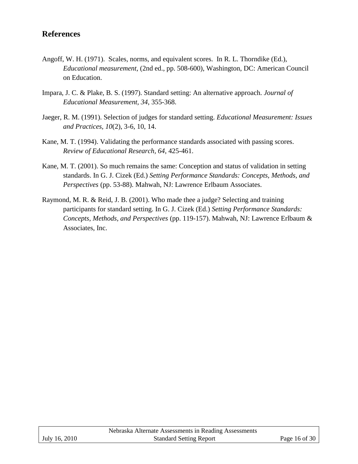## **References**

- Angoff, W. H. (1971). Scales, norms, and equivalent scores. In R. L. Thorndike (Ed.), *Educational measurement,* (2nd ed., pp. 508-600), Washington, DC: American Council on Education.
- Impara, J. C. & Plake, B. S. (1997). Standard setting: An alternative approach. *Journal of Educational Measurement, 34*, 355-368.
- Jaeger, R. M. (1991). Selection of judges for standard setting. *Educational Measurement: Issues and Practices, 10*(2), 3-6, 10, 14.
- Kane, M. T. (1994). Validating the performance standards associated with passing scores. *Review of Educational Research, 64*, 425-461.
- Kane, M. T. (2001). So much remains the same: Conception and status of validation in setting standards. In G. J. Cizek (Ed.) *Setting Performance Standards: Concepts, Methods, and Perspectives* (pp. 53-88). Mahwah, NJ: Lawrence Erlbaum Associates.
- Raymond, M. R. & Reid, J. B. (2001). Who made thee a judge? Selecting and training participants for standard setting. In G. J. Cizek (Ed.) *Setting Performance Standards: Concepts, Methods, and Perspectives* (pp. 119-157). Mahwah, NJ: Lawrence Erlbaum & Associates, Inc.

|               | Nebraska Alternate Assessments in Reading Assessments |               |
|---------------|-------------------------------------------------------|---------------|
| July 16, 2010 | <b>Standard Setting Report</b>                        | Page 16 of 30 |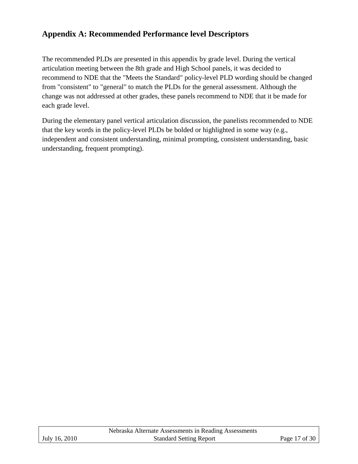# **Appendix A: Recommended Performance level Descriptors**

The recommended PLDs are presented in this appendix by grade level. During the vertical articulation meeting between the 8th grade and High School panels, it was decided to recommend to NDE that the "Meets the Standard" policy-level PLD wording should be changed from "consistent" to "general" to match the PLDs for the general assessment. Although the change was not addressed at other grades, these panels recommend to NDE that it be made for each grade level.

During the elementary panel vertical articulation discussion, the panelists recommended to NDE that the key words in the policy-level PLDs be bolded or highlighted in some way (e.g., independent and consistent understanding, minimal prompting, consistent understanding, basic understanding, frequent prompting).

|               | Nebraska Alternate Assessments in Reading Assessments |               |
|---------------|-------------------------------------------------------|---------------|
| July 16, 2010 | <b>Standard Setting Report</b>                        | Page 17 of 30 |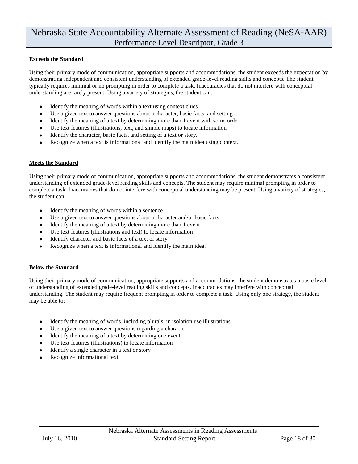#### **Exceeds the Standard**

Using their primary mode of communication, appropriate supports and accommodations, the student exceeds the expectation by demonstrating independent and consistent understanding of extended grade-level reading skills and concepts. The student typically requires minimal or no prompting in order to complete a task. Inaccuracies that do not interfere with conceptual understanding are rarely present. Using a variety of strategies, the student can:

- Identify the meaning of words within a text using context clues
- Use a given text to answer questions about a character, basic facts, and setting
- Identify the meaning of a text by determining more than 1 event with some order
- Use text features (illustrations, text, and simple maps) to locate information
- Identify the character, basic facts, and setting of a text or story.
- Recognize when a text is informational and identify the main idea using context.

#### **Meets the Standard**

Using their primary mode of communication, appropriate supports and accommodations, the student demonstrates a consistent understanding of extended grade-level reading skills and concepts. The student may require minimal prompting in order to complete a task. Inaccuracies that do not interfere with conceptual understanding may be present. Using a variety of strategies, the student can:

- Identify the meaning of words within a sentence
- Use a given text to answer questions about a character and/or basic facts
- Identify the meaning of a text by determining more than 1 event
- Use text features (illustrations and text) to locate information
- Identify character and basic facts of a text or story
- Recognize when a text is informational and identify the main idea.

#### **Below the Standard**

Using their primary mode of communication, appropriate supports and accommodations, the student demonstrates a basic level of understanding of extended grade-level reading skills and concepts. Inaccuracies may interfere with conceptual understanding. The student may require frequent prompting in order to complete a task. Using only one strategy, the student may be able to:

- Identify the meaning of words, including plurals, in isolation use illustrations
- Use a given text to answer questions regarding a character
- Identify the meaning of a text by determining one event
- Use text features (illustrations) to locate information
- Identify a single character in a text or story
- Recognize informational text

|               | Nebraska Alternate Assessments in Reading Assessments |               |
|---------------|-------------------------------------------------------|---------------|
| July 16, 2010 | <b>Standard Setting Report</b>                        | Page 18 of 30 |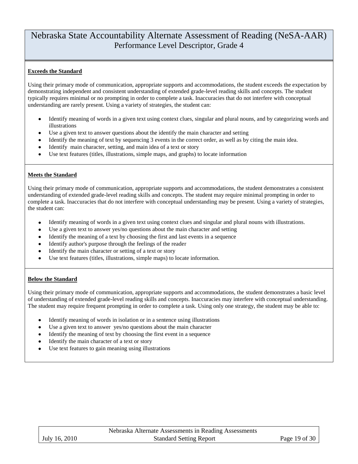#### **Exceeds the Standard**

Using their primary mode of communication, appropriate supports and accommodations, the student exceeds the expectation by demonstrating independent and consistent understanding of extended grade-level reading skills and concepts. The student typically requires minimal or no prompting in order to complete a task. Inaccuracies that do not interfere with conceptual understanding are rarely present. Using a variety of strategies, the student can:

- Identify meaning of words in a given text using context clues, singular and plural nouns, and by categorizing words and illustrations
- Use a given text to answer questions about the identify the main character and setting
- Identify the meaning of text by sequencing 3 events in the correct order, as well as by citing the main idea.
- Identify main character, setting, and main idea of a text or story
- Use text features (titles, illustrations, simple maps, and graphs) to locate information

#### **Meets the Standard**

Using their primary mode of communication, appropriate supports and accommodations, the student demonstrates a consistent understanding of extended grade-level reading skills and concepts. The student may require minimal prompting in order to complete a task. Inaccuracies that do not interfere with conceptual understanding may be present. Using a variety of strategies, the student can:

- Identify meaning of words in a given text using context clues and singular and plural nouns with illustrations.
- Use a given text to answer yes/no questions about the main character and setting
- Identify the meaning of a text by choosing the first and last events in a sequence
- $\bullet$ Identify author's purpose through the feelings of the reader
- Identify the main character or setting of a text or story
- Use text features (titles, illustrations, simple maps) to locate information.

#### **Below the Standard**

Using their primary mode of communication, appropriate supports and accommodations, the student demonstrates a basic level of understanding of extended grade-level reading skills and concepts. Inaccuracies may interfere with conceptual understanding. The student may require frequent prompting in order to complete a task. Using only one strategy, the student may be able to:

- Identify meaning of words in isolation or in a sentence using illustrations
- Use a given text to answer yes/no questions about the main character
- Identify the meaning of text by choosing the first event in a sequence
- Identify the main character of a text or story
- Use text features to gain meaning using illustrations

|               | Nebraska Alternate Assessments in Reading Assessments |               |
|---------------|-------------------------------------------------------|---------------|
| July 16, 2010 | <b>Standard Setting Report</b>                        | Page 19 of 30 |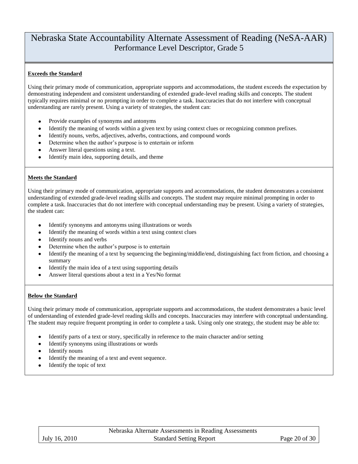#### **Exceeds the Standard**

Using their primary mode of communication, appropriate supports and accommodations, the student exceeds the expectation by demonstrating independent and consistent understanding of extended grade-level reading skills and concepts. The student typically requires minimal or no prompting in order to complete a task. Inaccuracies that do not interfere with conceptual understanding are rarely present. Using a variety of strategies, the student can:

- Provide examples of synonyms and antonyms
- Identify the meaning of words within a given text by using context clues or recognizing common prefixes.
- Identify nouns, verbs, adjectives, adverbs, contractions, and compound words
- Determine when the author's purpose is to entertain or inform  $\bullet$
- Answer literal questions using a text.
- Identify main idea, supporting details, and theme

#### **Meets the Standard**

Using their primary mode of communication, appropriate supports and accommodations, the student demonstrates a consistent understanding of extended grade-level reading skills and concepts. The student may require minimal prompting in order to complete a task. Inaccuracies that do not interfere with conceptual understanding may be present. Using a variety of strategies, the student can:

- $\bullet$ Identify synonyms and antonyms using illustrations or words
- Identify the meaning of words within a text using context clues
- Identify nouns and verbs
- Determine when the author's purpose is to entertain
- Identify the meaning of a text by sequencing the beginning/middle/end, distinguishing fact from fiction, and choosing a summary
- Identify the main idea of a text using supporting details
- Answer literal questions about a text in a Yes/No format

#### **Below the Standard**

Using their primary mode of communication, appropriate supports and accommodations, the student demonstrates a basic level of understanding of extended grade-level reading skills and concepts. Inaccuracies may interfere with conceptual understanding. The student may require frequent prompting in order to complete a task. Using only one strategy, the student may be able to:

- Identify parts of a text or story, specifically in reference to the main character and/or setting
- Identify synonyms using illustrations or words
- Identify nouns
- Identify the meaning of a text and event sequence.  $\bullet$
- Identify the topic of text $\bullet$

|               | Nebraska Alternate Assessments in Reading Assessments |               |
|---------------|-------------------------------------------------------|---------------|
| July 16, 2010 | <b>Standard Setting Report</b>                        | Page 20 of 30 |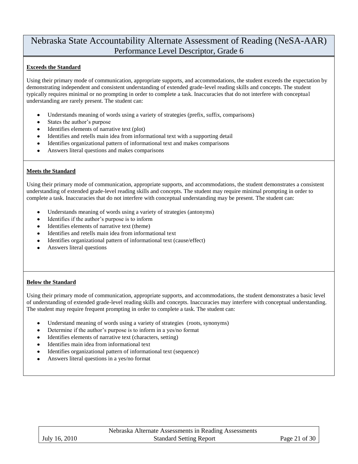#### **Exceeds the Standard**

Using their primary mode of communication, appropriate supports, and accommodations, the student exceeds the expectation by demonstrating independent and consistent understanding of extended grade-level reading skills and concepts. The student typically requires minimal or no prompting in order to complete a task. Inaccuracies that do not interfere with conceptual understanding are rarely present. The student can:

- Understands meaning of words using a variety of strategies (prefix, suffix, comparisons)
- States the author's purpose  $\bullet$
- Identifies elements of narrative text (plot)
- Identifies and retells main idea from informational text with a supporting detail
- Identifies organizational pattern of informational text and makes comparisons
- Answers literal questions and makes comparisons

#### **Meets the Standard**

Using their primary mode of communication, appropriate supports, and accommodations, the student demonstrates a consistent understanding of extended grade-level reading skills and concepts. The student may require minimal prompting in order to complete a task. Inaccuracies that do not interfere with conceptual understanding may be present. The student can:

- Understands meaning of words using a variety of strategies (antonyms)
- $\bullet$ Identifies if the author's purpose is to inform
- Identifies elements of narrative text (theme)
- Identifies and retells main idea from informational text
- Identifies organizational pattern of informational text (cause/effect)
- Answers literal questions

#### **Below the Standard**

Using their primary mode of communication, appropriate supports, and accommodations, the student demonstrates a basic level of understanding of extended grade-level reading skills and concepts. Inaccuracies may interfere with conceptual understanding. The student may require frequent prompting in order to complete a task. The student can:

- Understand meaning of words using a variety of strategies (roots, synonyms)
- Determine if the author's purpose is to inform in a yes/no format
- Identifies elements of narrative text (characters, setting)
- Identifies main idea from informational text
- Identifies organizational pattern of informational text (sequence)
- Answers literal questions in a yes/no format

|                 | Nebraska Alternate Assessments in Reading Assessments |                       |
|-----------------|-------------------------------------------------------|-----------------------|
| I July 16, 2010 | <b>Standard Setting Report</b>                        | Page 21 of 30 $\vert$ |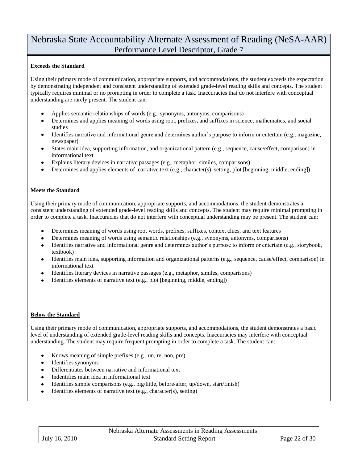#### **Exceeds the Standard**

Using their primary mode of communication, appropriate supports, and accommodations, the student exceeds the expectation by demonstrating independent and consistent understanding of extended grade-level reading skills and concepts. The student typically requires minimal or no prompting in order to complete a task. Inaccuracies that do not interfere with conceptual understanding are rarely present. The student can:

- Applies semantic relationships of words (e.g., synonyms, antonyms, comparisons)
- Determines and applies meaning of words using root, prefixes, and suffixes in science, mathematics, and social studies
- Identifies narrative and informational genre and determines author's purpose to inform or entertain (e.g., magazine, newspaper)
- States main idea, supporting information, and organizational pattern (e.g., sequence, cause/effect, comparison) in informational text
- Explains literary devices in narrative passages (e.g., metaphor, similes, comparisons)
- Determines and applies elements of narrative text (e.g., character(s), setting, plot [beginning, middle, ending])

#### **Meets the Standard**

Using their primary mode of communication, appropriate supports, and accommodations, the student demonstrates a consistent understanding of extended grade-level reading skills and concepts. The student may require minimal prompting in order to complete a task. Inaccuracies that do not interfere with conceptual understanding may be present. The student can:

- Determines meaning of words using root words, prefixes, suffixes, context clues, and text features
- Determines meaning of words using semantic relationships (e.g., synonyms, antonyms, comparisons)
- Identifies narrative and informational genre and determines author's purpose to inform or entertain (e.g., storybook, textbook)
- Identifies main idea, supporting information and organizational patterns (e.g., sequence, cause/effect, comparison) in informational text
- Identifies literary devices in narrative passages (e.g., metaphor, similes, comparisons)
- Identifies elements of narrative text (e.g., plot [beginning, middle, ending])

#### **Below the Standard**

Using their primary mode of communication, appropriate supports, and accommodations, the student demonstrates a basic level of understanding of extended grade-level reading skills and concepts. Inaccuracies may interfere with conceptual understanding. The student may require frequent prompting in order to complete a task. The student can:

- Knows meaning of simple prefixes (e.g., un, re, non, pre)
- Identifies synonyms
- Differentiates between narrative and informational text
- Indentifies main idea in informational text
- Identifies simple comparisons (e.g., big/little, before/after, up/down, start/finish)
- Identifies elements of narrative text (e.g., character(s), setting)

|               | Nebraska Alternate Assessments in Reading Assessments |               |
|---------------|-------------------------------------------------------|---------------|
| July 16, 2010 | <b>Standard Setting Report</b>                        | Page 22 of 30 |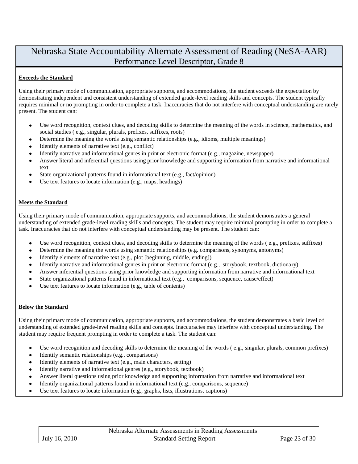#### **Exceeds the Standard**

Using their primary mode of communication, appropriate supports, and accommodations, the student exceeds the expectation by demonstrating independent and consistent understanding of extended grade-level reading skills and concepts. The student typically requires minimal or no prompting in order to complete a task. Inaccuracies that do not interfere with conceptual understanding are rarely present. The student can:

- Use word recognition, context clues, and decoding skills to determine the meaning of the words in science, mathematics, and social studies ( e.g., singular, plurals, prefixes, suffixes, roots)
- Determine the meaning the words using semantic relationships (e.g., idioms, multiple meanings)
- Identify elements of narrative text (e.g., conflict)
- Identify narrative and informational genres in print or electronic format (e.g., magazine, newspaper)
- Answer literal and inferential questions using prior knowledge and supporting information from narrative and informational text
- State organizational patterns found in informational text (e.g., fact/opinion)
- Use text features to locate information (e.g., maps, headings)

#### **Meets the Standard**

Using their primary mode of communication, appropriate supports, and accommodations, the student demonstrates a general understanding of extended grade-level reading skills and concepts. The student may require minimal prompting in order to complete a task. Inaccuracies that do not interfere with conceptual understanding may be present. The student can:

- Use word recognition, context clues, and decoding skills to determine the meaning of the words ( e.g., prefixes, suffixes)
- Determine the meaning the words using semantic relationships (e.g. comparisons, synonyms, antonyms)
- Identify elements of narrative text (e.g., plot [beginning, middle, ending])
- Identify narrative and informational genres in print or electronic format (e.g., storybook, textbook, dictionary)
- Answer inferential questions using prior knowledge and supporting information from narrative and informational text
- State organizational patterns found in informational text (e.g., comparisons, sequence, cause/effect)
- Use text features to locate information (e.g., table of contents)

#### **Below the Standard**

Using their primary mode of communication, appropriate supports, and accommodations, the student demonstrates a basic level of understanding of extended grade-level reading skills and concepts. Inaccuracies may interfere with conceptual understanding. The student may require frequent prompting in order to complete a task. The student can:

- Use word recognition and decoding skills to determine the meaning of the words ( e.g., singular, plurals, common prefixes)
- Identify semantic relationships (e.g., comparisons)
- Identify elements of narrative text (e.g., main characters, setting)
- Identify narrative and informational genres (e.g., storybook, textbook)
- Answer literal questions using prior knowledge and supporting information from narrative and informational text
- Identify organizational patterns found in informational text (e.g., comparisons, sequence)
- Use text features to locate information (e.g., graphs, lists, illustrations, captions)

|               | Nebraska Alternate Assessments in Reading Assessments |               |
|---------------|-------------------------------------------------------|---------------|
| July 16, 2010 | <b>Standard Setting Report</b>                        | Page 23 of 30 |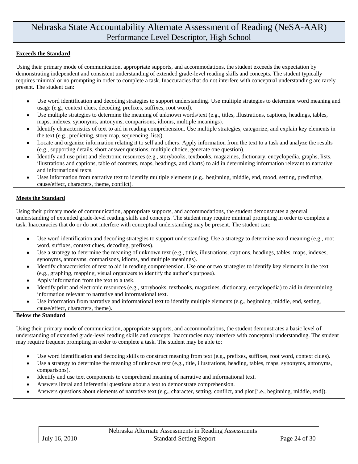#### **Exceeds the Standard**

Using their primary mode of communication, appropriate supports, and accommodations, the student exceeds the expectation by demonstrating independent and consistent understanding of extended grade-level reading skills and concepts. The student typically requires minimal or no prompting in order to complete a task. Inaccuracies that do not interfere with conceptual understanding are rarely present. The student can:

- Use word identification and decoding strategies to support understanding. Use multiple strategies to determine word meaning and  $\bullet$ usage (e.g., context clues, decoding, prefixes, suffixes, root word).
- Use multiple strategies to determine the meaning of unknown words/text (e.g., titles, illustrations, captions, headings, tables, maps, indexes, synonyms, antonyms, comparisons, idioms, multiple meanings).
- Identify characteristics of text to aid in reading comprehension. Use multiple strategies, categorize, and explain key elements in  $\bullet$ the text (e.g., predicting, story map, sequencing, lists).
- Locate and organize information relating it to self and others. Apply information from the text to a task and analyze the results  $\bullet$ (e.g., supporting details, short answer questions, multiple choice, generate one question).
- Identify and use print and electronic resources (e.g., storybooks, textbooks, magazines, dictionary, encyclopedia, graphs, lists,  $\bullet$ illustrations and captions, table of contents, maps, headings, and charts) to aid in determining information relevant to narrative and informational texts.
- Uses information from narrative text to identify multiple elements (e.g., beginning, middle, end, mood, setting, predicting,  $\bullet$ cause/effect, characters, theme, conflict).

#### **Meets the Standard**

Using their primary mode of communication, appropriate supports, and accommodations, the student demonstrates a general understanding of extended grade-level reading skills and concepts. The student may require minimal prompting in order to complete a task. Inaccuracies that do or do not interfere with conceptual understanding may be present. The student can:

- Use word identification and decoding strategies to support understanding. Use a strategy to determine word meaning (e.g., root  $\bullet$ word, suffixes, context clues, decoding, prefixes).
- Use a strategy to determine the meaning of unknown text (e.g., titles, illustrations, captions, headings, tables, maps, indexes,  $\bullet$ synonyms, antonyms, comparisons, idioms, and multiple meanings).
- Identify characteristics of text to aid in reading comprehension. Use one or two strategies to identify key elements in the text  $\bullet$ (e.g., graphing, mapping, visual organizers to identify the author's purpose).
- Apply information from the text to a task.  $\bullet$
- Identify print and electronic resources (e.g., storybooks, textbooks, magazines, dictionary, encyclopedia) to aid in determining information relevant to narrative and informational text.
- Use information from narrative and informational text to identify multiple elements (e.g., beginning, middle, end, setting,  $\bullet$ cause/effect, characters, theme).

#### **Below the Standard**

Using their primary mode of communication, appropriate supports, and accommodations, the student demonstrates a basic level of understanding of extended grade-level reading skills and concepts. Inaccuracies may interfere with conceptual understanding. The student may require frequent prompting in order to complete a task. The student may be able to:

- Use word identification and decoding skills to construct meaning from text (e.g., prefixes, suffixes, root word, context clues).
- Use a strategy to determine the meaning of unknown text (e.g., title, illustrations, heading, tables, maps, synonyms, antonyms, comparisons).
- Identify and use text components to comprehend meaning of narrative and informational text.
- Answers literal and inferential questions about a text to demonstrate comprehension.  $\bullet$
- Answers questions about elements of narrative text (e.g., character, setting, conflict, and plot [i.e., beginning, middle, end]).

|               | Nebraska Alternate Assessments in Reading Assessments |               |
|---------------|-------------------------------------------------------|---------------|
| July 16, 2010 | <b>Standard Setting Report</b>                        | Page 24 of 30 |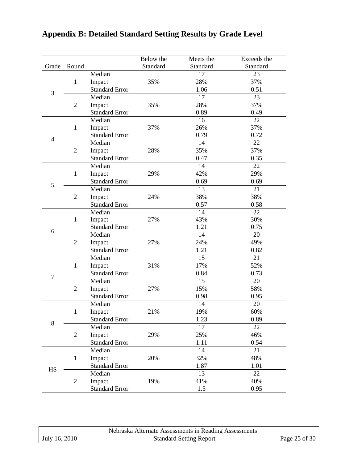|                |                |                       | Below the | Meets the | Exceeds the |
|----------------|----------------|-----------------------|-----------|-----------|-------------|
| Grade          | Round          |                       | Standard  | Standard  | Standard    |
|                |                | Median                |           | 17        | 23          |
|                | $\mathbf{1}$   | Impact                | 35%       | 28%       | 37%         |
|                |                | <b>Standard Error</b> |           | 1.06      | 0.51        |
| 3              |                | Median                |           | 17        | 23          |
|                | $\overline{2}$ | Impact                | 35%       | 28%       | 37%         |
|                |                | <b>Standard Error</b> |           | 0.89      | 0.49        |
|                |                | Median                |           | 16        | 22          |
|                | $\mathbf{1}$   | Impact                | 37%       | 26%       | 37%         |
|                |                | <b>Standard Error</b> |           | 0.79      | 0.72        |
| $\overline{4}$ |                | Median                |           | 14        | 22          |
|                | $\overline{2}$ | Impact                | 28%       | 35%       | 37%         |
|                |                | <b>Standard Error</b> |           | 0.47      | 0.35        |
|                |                | Median                |           | 14        | 22          |
|                | $\mathbf{1}$   | Impact                | 29%       | 42%       | 29%         |
|                |                | <b>Standard Error</b> |           | 0.69      | 0.69        |
| 5              |                | Median                |           | 13        | 21          |
|                | $\overline{2}$ | Impact                | 24%       | 38%       | 38%         |
|                |                | <b>Standard Error</b> |           | 0.57      | 0.58        |
|                |                | Median                |           | 14        | 22          |
|                | $\mathbf{1}$   | Impact                | 27%       | 43%       | 30%         |
|                |                | <b>Standard Error</b> |           | 1.21      | 0.75        |
| 6              |                | Median                |           | 14        | 20          |
|                | $\overline{2}$ | Impact                | 27%       | 24%       | 49%         |
|                |                | <b>Standard Error</b> |           | 1.21      | 0.82        |
|                |                | Median                |           | 15        | 21          |
|                | $\mathbf{1}$   | Impact                | 31%       | 17%       | 52%         |
| $\overline{7}$ |                | <b>Standard Error</b> |           | 0.84      | 0.73        |
|                |                | Median                |           | 15        | 20          |
|                | $\overline{2}$ | Impact                | 27%       | 15%       | 58%         |
|                |                | <b>Standard Error</b> |           | 0.98      | 0.95        |
|                |                | Median                |           | 14        | 20          |
|                | $\mathbf{1}$   | Impact                | 21%       | 19%       | 60%         |
|                |                | <b>Standard Error</b> |           | 1.23      | 0.89        |
| $8\,$          |                | Median                |           | 17        | 22          |
|                | $\overline{2}$ | Impact                | 29%       | 25%       | 46%         |
|                |                | <b>Standard Error</b> |           | 1.11      | 0.54        |
|                |                | Median                |           | 14        | 21          |
|                | $\mathbf{1}$   | Impact                | 20%       | 32%       | 48%         |
|                |                | <b>Standard Error</b> |           | 1.87      | 1.01        |
| HS             |                | Median                |           | 13        | 22          |
|                | $\overline{2}$ | Impact                | 19%       | 41%       | 40%         |
|                |                | <b>Standard Error</b> |           | 1.5       | 0.95        |

# **Appendix B: Detailed Standard Setting Results by Grade Level**

|               | Nebraska Alternate Assessments in Reading Assessments |               |
|---------------|-------------------------------------------------------|---------------|
| July 16, 2010 | <b>Standard Setting Report</b>                        | Page 25 of 30 |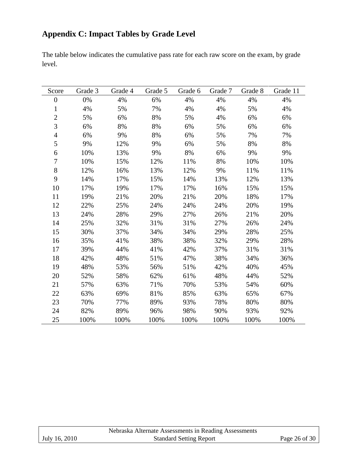# **Appendix C: Impact Tables by Grade Level**

The table below indicates the cumulative pass rate for each raw score on the exam, by grade level.

| Score            | Grade 3 | Grade 4 | Grade 5 | Grade 6 | Grade 7 | Grade 8 | Grade 11 |
|------------------|---------|---------|---------|---------|---------|---------|----------|
| $\boldsymbol{0}$ | 0%      | 4%      | 6%      | 4%      | 4%      | 4%      | 4%       |
| $\mathbf{1}$     | 4%      | 5%      | 7%      | 4%      | 4%      | 5%      | 4%       |
| $\overline{2}$   | 5%      | 6%      | 8%      | 5%      | 4%      | 6%      | 6%       |
| 3                | 6%      | 8%      | 8%      | 6%      | 5%      | 6%      | 6%       |
| $\overline{4}$   | 6%      | 9%      | 8%      | 6%      | 5%      | 7%      | 7%       |
| 5                | 9%      | 12%     | 9%      | 6%      | 5%      | 8%      | $8\%$    |
| 6                | 10%     | 13%     | 9%      | $8\%$   | 6%      | 9%      | 9%       |
| $\boldsymbol{7}$ | 10%     | 15%     | 12%     | 11%     | 8%      | 10%     | 10%      |
| 8                | 12%     | 16%     | 13%     | 12%     | 9%      | 11%     | 11%      |
| 9                | 14%     | 17%     | 15%     | 14%     | 13%     | 12%     | 13%      |
| 10               | 17%     | 19%     | 17%     | 17%     | 16%     | 15%     | 15%      |
| 11               | 19%     | 21%     | 20%     | 21%     | 20%     | 18%     | 17%      |
| 12               | 22%     | 25%     | 24%     | 24%     | 24%     | 20%     | 19%      |
| 13               | 24%     | 28%     | 29%     | 27%     | 26%     | 21%     | 20%      |
| 14               | 25%     | 32%     | 31%     | 31%     | 27%     | 26%     | 24%      |
| 15               | 30%     | 37%     | 34%     | 34%     | 29%     | 28%     | 25%      |
| 16               | 35%     | 41%     | 38%     | 38%     | 32%     | 29%     | 28%      |
| 17               | 39%     | 44%     | 41%     | 42%     | 37%     | 31%     | 31%      |
| 18               | 42%     | 48%     | 51%     | 47%     | 38%     | 34%     | 36%      |
| 19               | 48%     | 53%     | 56%     | 51%     | 42%     | 40%     | 45%      |
| 20               | 52%     | 58%     | 62%     | 61%     | 48%     | 44%     | 52%      |
| 21               | 57%     | 63%     | 71%     | 70%     | 53%     | 54%     | 60%      |
| 22               | 63%     | 69%     | 81%     | 85%     | 63%     | 65%     | 67%      |
| 23               | 70%     | 77%     | 89%     | 93%     | 78%     | 80%     | 80%      |
| 24               | 82%     | 89%     | 96%     | 98%     | 90%     | 93%     | 92%      |
| 25               | 100%    | 100%    | 100%    | 100%    | 100%    | 100%    | 100%     |

|               | Nebraska Alternate Assessments in Reading Assessments |               |
|---------------|-------------------------------------------------------|---------------|
| July 16, 2010 | <b>Standard Setting Report</b>                        | Page 26 of 30 |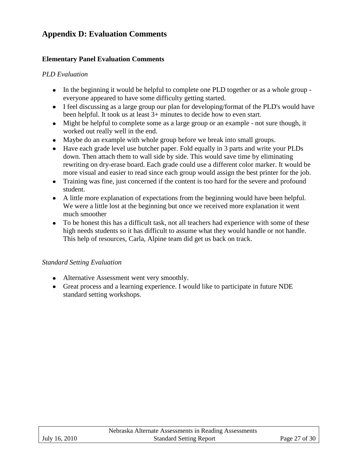## **Appendix D: Evaluation Comments**

## **Elementary Panel Evaluation Comments**

## *PLD Evaluation*

- In the beginning it would be helpful to complete one PLD together or as a whole group everyone appeared to have some difficulty getting started.
- I feel discussing as a large group our plan for developing/format of the PLD's would have been helpful. It took us at least 3+ minutes to decide how to even start.
- Might be helpful to complete some as a large group or an example not sure though, it worked out really well in the end.
- Maybe do an example with whole group before we break into small groups.
- Have each grade level use butcher paper. Fold equally in 3 parts and write your PLDs down. Then attach them to wall side by side. This would save time by eliminating rewriting on dry-erase board. Each grade could use a different color marker. It would be more visual and easier to read since each group would assign the best printer for the job.
- Training was fine, just concerned if the content is too hard for the severe and profound student.
- A little more explanation of expectations from the beginning would have been helpful. We were a little lost at the beginning but once we received more explanation it went much smoother
- To be honest this has a difficult task, not all teachers had experience with some of these high needs students so it has difficult to assume what they would handle or not handle. This help of resources, Carla, Alpine team did get us back on track.

## *Standard Setting Evaluation*

- Alternative Assessment went very smoothly.
- Great process and a learning experience. I would like to participate in future NDE standard setting workshops.

|               | Nebraska Alternate Assessments in Reading Assessments |               |
|---------------|-------------------------------------------------------|---------------|
| July 16, 2010 | <b>Standard Setting Report</b>                        | Page 27 of 30 |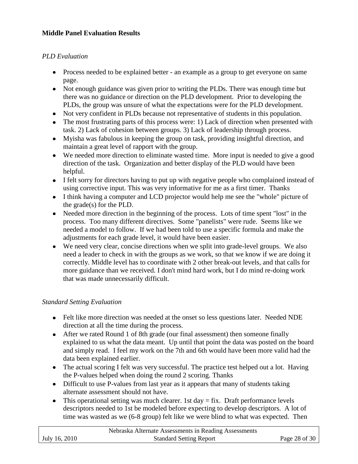## **Middle Panel Evaluation Results**

## *PLD Evaluation*

- Process needed to be explained better an example as a group to get everyone on same page.
- Not enough guidance was given prior to writing the PLDs. There was enough time but there was no guidance or direction on the PLD development. Prior to developing the PLDs, the group was unsure of what the expectations were for the PLD development.
- Not very confident in PLDs because not representative of students in this population.
- The most frustrating parts of this process were: 1) Lack of direction when presented with task. 2) Lack of cohesion between groups. 3) Lack of leadership through process.
- Myisha was fabulous in keeping the group on task, providing insightful direction, and maintain a great level of rapport with the group.
- We needed more direction to eliminate wasted time. More input is needed to give a good direction of the task. Organization and better display of the PLD would have been helpful.
- I felt sorry for directors having to put up with negative people who complained instead of using corrective input. This was very informative for me as a first timer. Thanks
- I think having a computer and LCD projector would help me see the "whole" picture of the grade(s) for the PLD.
- Needed more direction in the beginning of the process. Lots of time spent "lost" in the process. Too many different directives. Some "panelists" were rude. Seems like we needed a model to follow. If we had been told to use a specific formula and make the adjustments for each grade level, it would have been easier.
- We need very clear, concise directions when we split into grade-level groups. We also need a leader to check in with the groups as we work, so that we know if we are doing it correctly. Middle level has to coordinate with 2 other break-out levels, and that calls for more guidance than we received. I don't mind hard work, but I do mind re-doing work that was made unnecessarily difficult.

## *Standard Setting Evaluation*

- Felt like more direction was needed at the onset so less questions later. Needed NDE direction at all the time during the process.
- After we rated Round 1 of 8th grade (our final assessment) then someone finally explained to us what the data meant. Up until that point the data was posted on the board and simply read. I feel my work on the 7th and 6th would have been more valid had the data been explained earlier.
- The actual scoring I felt was very successful. The practice test helped out a lot. Having the P-values helped when doing the round 2 scoring. Thanks
- Difficult to use P-values from last year as it appears that many of students taking alternate assessment should not have.
- This operational setting was much clearer. 1st day  $=$  fix. Draft performance levels descriptors needed to 1st be modeled before expecting to develop descriptors. A lot of time was wasted as we (6-8 group) felt like we were blind to what was expected. Then

|               | Nebraska Alternate Assessments in Reading Assessments |               |
|---------------|-------------------------------------------------------|---------------|
| July 16, 2010 | <b>Standard Setting Report</b>                        | Page 28 of 30 |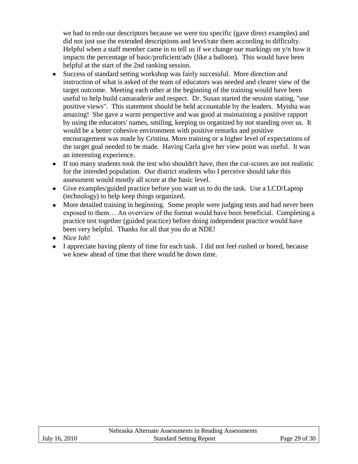we had to redo our descriptors because we were too specific (gave direct examples) and did not just use the extended descriptions and level/rate them according to difficulty. Helpful when a staff member came in to tell us if we change our markings on y/n how it impacts the percentage of basic/proficient/adv (like a balloon). This would have been helpful at the start of the 2nd ranking session.

- Success of standard setting workshop was fairly successful. More direction and instruction of what is asked of the team of educators was needed and clearer view of the target outcome. Meeting each other at the beginning of the training would have been useful to help build camaraderie and respect. Dr. Susan started the session stating, "use positive views". This statement should be held accountable by the leaders. Myisha was amazing! She gave a warm perspective and was good at maintaining a positive rapport by using the educators' names, smiling, keeping us organized by not standing over us. It would be a better cohesive environment with positive remarks and positive encouragement was made by Cristina. More training or a higher level of expectations of the target goal needed to be made. Having Carla give her view point was useful. It was an interesting experience.
- If too many students took the test who shouldn't have, then the cut-scores are not realistic for the intended population. Our district students who I perceive should take this assessment would mostly all score at the basic level.
- Give examples/guided practice before you want us to do the task. Use a LCD/Laptop (technology) to help keep things organized.
- More detailed training in beginning. Some people were judging tests and had never been exposed to them… An overview of the format would have been beneficial. Completing a practice test together (guided practice) before doing independent practice would have been very helpful. Thanks for all that you do at NDE!
- Nice Job!
- I appreciate having plenty of time for each task. I did not feel rushed or bored, because we knew ahead of time that there would be down time.

|               | Nebraska Alternate Assessments in Reading Assessments |               |
|---------------|-------------------------------------------------------|---------------|
| July 16, 2010 | <b>Standard Setting Report</b>                        | Page 29 of 30 |